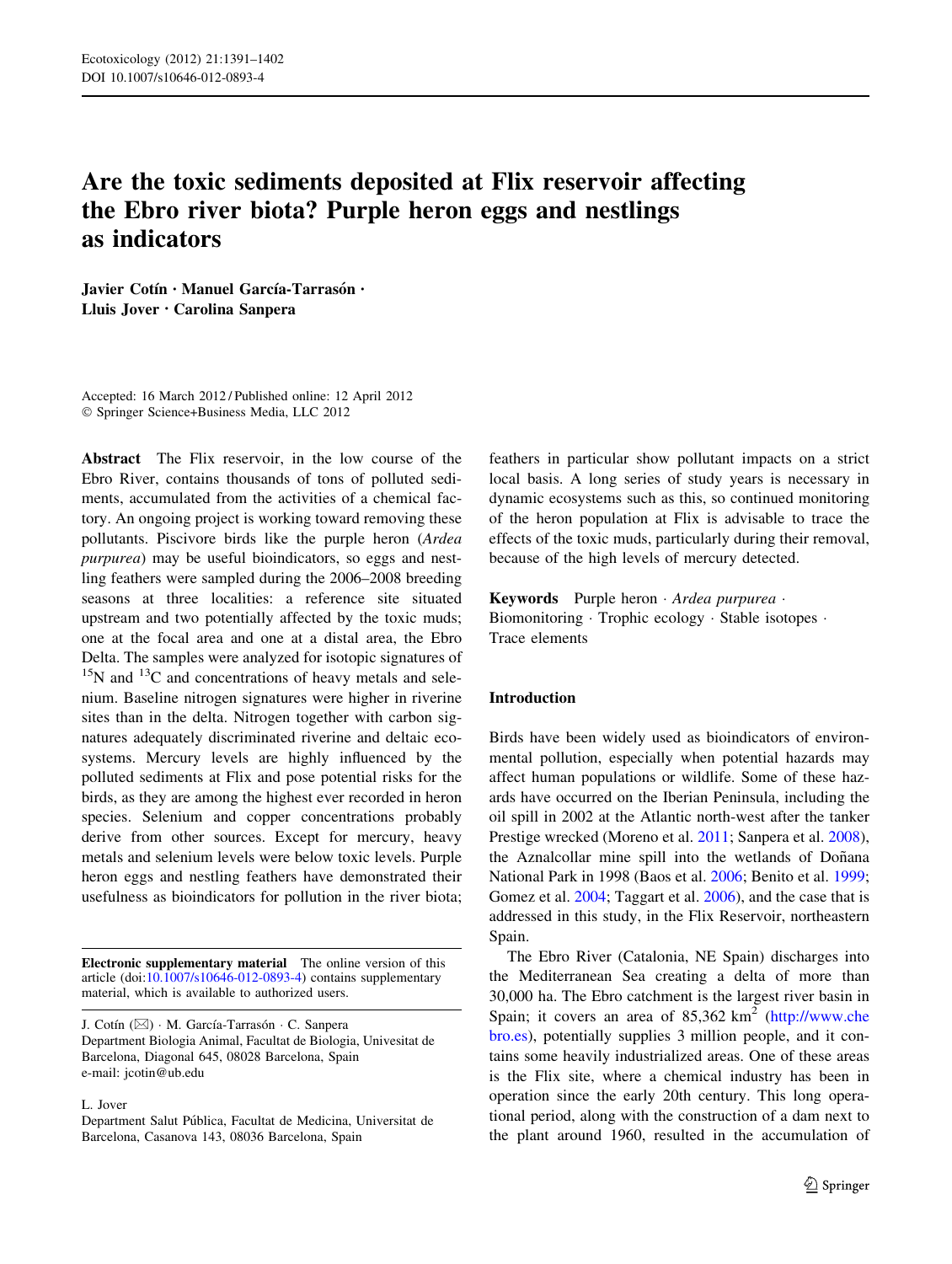# Are the toxic sediments deposited at Flix reservoir affecting the Ebro river biota? Purple heron eggs and nestlings as indicators

Javier Cotín · Manuel García-Tarrasón · Lluis Jover • Carolina Sanpera

Accepted: 16 March 2012 / Published online: 12 April 2012 - Springer Science+Business Media, LLC 2012

Abstract The Flix reservoir, in the low course of the Ebro River, contains thousands of tons of polluted sediments, accumulated from the activities of a chemical factory. An ongoing project is working toward removing these pollutants. Piscivore birds like the purple heron (Ardea purpurea) may be useful bioindicators, so eggs and nestling feathers were sampled during the 2006–2008 breeding seasons at three localities: a reference site situated upstream and two potentially affected by the toxic muds; one at the focal area and one at a distal area, the Ebro Delta. The samples were analyzed for isotopic signatures of  $15$ N and  $13$ C and concentrations of heavy metals and selenium. Baseline nitrogen signatures were higher in riverine sites than in the delta. Nitrogen together with carbon signatures adequately discriminated riverine and deltaic ecosystems. Mercury levels are highly influenced by the polluted sediments at Flix and pose potential risks for the birds, as they are among the highest ever recorded in heron species. Selenium and copper concentrations probably derive from other sources. Except for mercury, heavy metals and selenium levels were below toxic levels. Purple heron eggs and nestling feathers have demonstrated their usefulness as bioindicators for pollution in the river biota;

Electronic supplementary material The online version of this article (doi:[10.1007/s10646-012-0893-4\)](http://dx.doi.org/10.1007/s10646-012-0893-4) contains supplementary material, which is available to authorized users.

J. Cotín ( $\boxtimes$ ) · M. García-Tarrasón · C. Sanpera Department Biologia Animal, Facultat de Biologia, Univesitat de Barcelona, Diagonal 645, 08028 Barcelona, Spain e-mail: jcotin@ub.edu

L. Jover

feathers in particular show pollutant impacts on a strict local basis. A long series of study years is necessary in dynamic ecosystems such as this, so continued monitoring of the heron population at Flix is advisable to trace the effects of the toxic muds, particularly during their removal, because of the high levels of mercury detected.

Keywords Purple heron · Ardea purpurea · Biomonitoring - Trophic ecology - Stable isotopes - Trace elements

## Introduction

Birds have been widely used as bioindicators of environmental pollution, especially when potential hazards may affect human populations or wildlife. Some of these hazards have occurred on the Iberian Peninsula, including the oil spill in 2002 at the Atlantic north-west after the tanker Prestige wrecked (Moreno et al. [2011;](#page-11-0) Sanpera et al. [2008](#page-11-0)), the Aznalcollar mine spill into the wetlands of Doñana National Park in 1998 (Baos et al. [2006;](#page-9-0) Benito et al. [1999](#page-10-0); Gomez et al. [2004](#page-10-0); Taggart et al. [2006](#page-11-0)), and the case that is addressed in this study, in the Flix Reservoir, northeastern Spain.

The Ebro River (Catalonia, NE Spain) discharges into the Mediterranean Sea creating a delta of more than 30,000 ha. The Ebro catchment is the largest river basin in Spain; it covers an area of  $85,362 \text{ km}^2$  [\(http://www.che](http://www.chebro.es) [bro.es](http://www.chebro.es)), potentially supplies 3 million people, and it contains some heavily industrialized areas. One of these areas is the Flix site, where a chemical industry has been in operation since the early 20th century. This long operational period, along with the construction of a dam next to the plant around 1960, resulted in the accumulation of

Department Salut Pública, Facultat de Medicina, Universitat de Barcelona, Casanova 143, 08036 Barcelona, Spain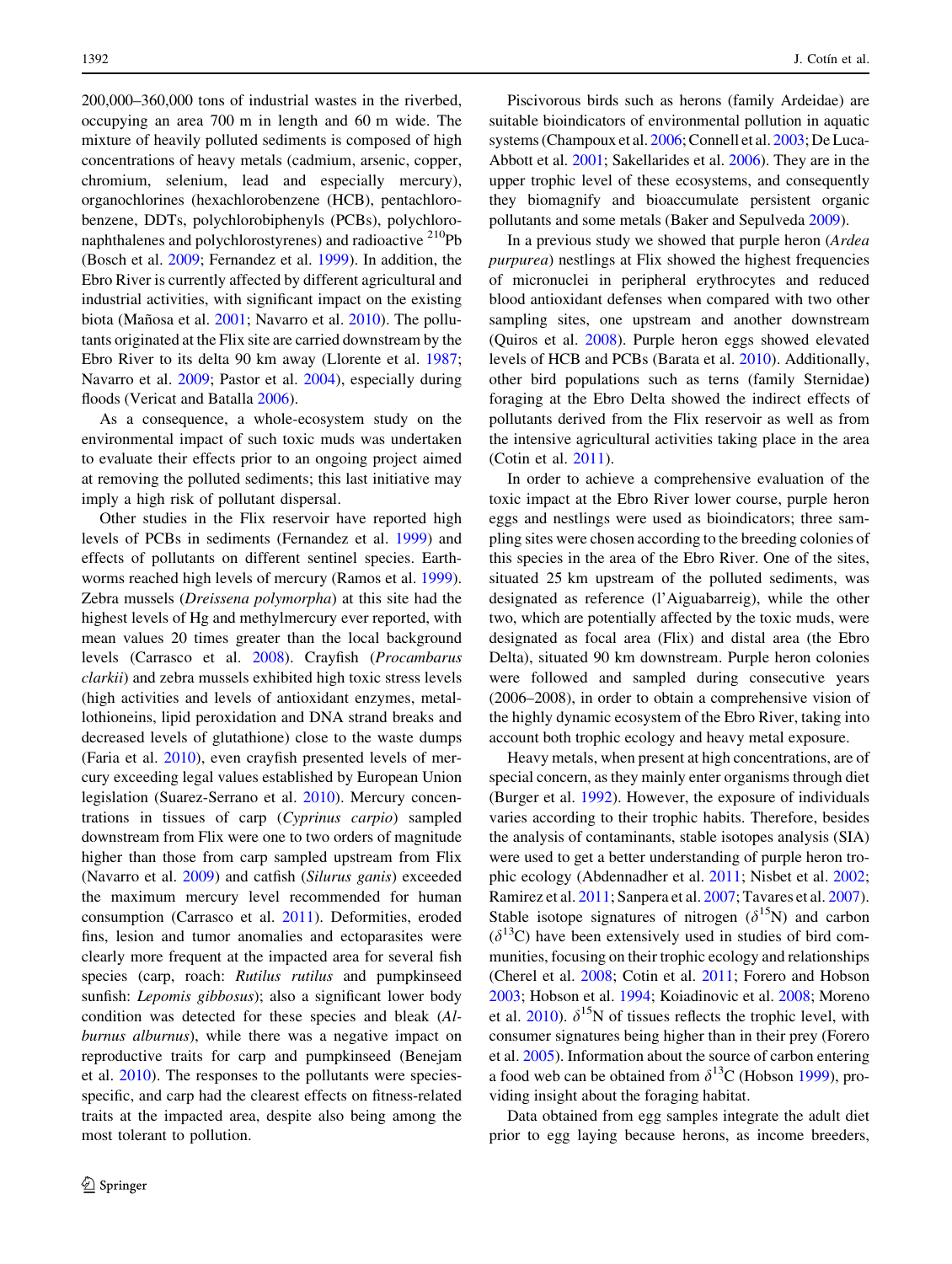200,000–360,000 tons of industrial wastes in the riverbed, occupying an area 700 m in length and 60 m wide. The mixture of heavily polluted sediments is composed of high concentrations of heavy metals (cadmium, arsenic, copper, chromium, selenium, lead and especially mercury), organochlorines (hexachlorobenzene (HCB), pentachlorobenzene, DDTs, polychlorobiphenyls (PCBs), polychloronaphthalenes and polychlorostyrenes) and radioactive <sup>210</sup>Pb (Bosch et al. [2009](#page-10-0); Fernandez et al. [1999](#page-10-0)). In addition, the Ebro River is currently affected by different agricultural and industrial activities, with significant impact on the existing biota (Mañosa et al. [2001](#page-11-0); Navarro et al. [2010](#page-11-0)). The pollutants originated at the Flix site are carried downstream by the Ebro River to its delta 90 km away (Llorente et al. [1987](#page-11-0); Navarro et al. [2009](#page-11-0); Pastor et al. [2004](#page-11-0)), especially during floods (Vericat and Batalla [2006](#page-11-0)).

As a consequence, a whole-ecosystem study on the environmental impact of such toxic muds was undertaken to evaluate their effects prior to an ongoing project aimed at removing the polluted sediments; this last initiative may imply a high risk of pollutant dispersal.

Other studies in the Flix reservoir have reported high levels of PCBs in sediments (Fernandez et al. [1999](#page-10-0)) and effects of pollutants on different sentinel species. Earthworms reached high levels of mercury (Ramos et al. [1999](#page-11-0)). Zebra mussels (Dreissena polymorpha) at this site had the highest levels of Hg and methylmercury ever reported, with mean values 20 times greater than the local background levels (Carrasco et al. [2008](#page-10-0)). Crayfish (Procambarus clarkii) and zebra mussels exhibited high toxic stress levels (high activities and levels of antioxidant enzymes, metallothioneins, lipid peroxidation and DNA strand breaks and decreased levels of glutathione) close to the waste dumps (Faria et al. [2010\)](#page-10-0), even crayfish presented levels of mercury exceeding legal values established by European Union legislation (Suarez-Serrano et al. [2010\)](#page-11-0). Mercury concentrations in tissues of carp (Cyprinus carpio) sampled downstream from Flix were one to two orders of magnitude higher than those from carp sampled upstream from Flix (Navarro et al. [2009](#page-11-0)) and catfish (Silurus ganis) exceeded the maximum mercury level recommended for human consumption (Carrasco et al. [2011\)](#page-10-0). Deformities, eroded fins, lesion and tumor anomalies and ectoparasites were clearly more frequent at the impacted area for several fish species (carp, roach: Rutilus rutilus and pumpkinseed sunfish: Lepomis gibbosus); also a significant lower body condition was detected for these species and bleak (Alburnus alburnus), while there was a negative impact on reproductive traits for carp and pumpkinseed (Benejam et al. [2010\)](#page-10-0). The responses to the pollutants were speciesspecific, and carp had the clearest effects on fitness-related traits at the impacted area, despite also being among the most tolerant to pollution.

Piscivorous birds such as herons (family Ardeidae) are suitable bioindicators of environmental pollution in aquatic systems (Champoux et al. [2006;](#page-10-0) Connell et al. [2003;](#page-10-0) De Luca-Abbott et al. [2001;](#page-10-0) Sakellarides et al. [2006\)](#page-11-0). They are in the upper trophic level of these ecosystems, and consequently they biomagnify and bioaccumulate persistent organic pollutants and some metals (Baker and Sepulveda [2009\)](#page-9-0).

In a previous study we showed that purple heron (Ardea purpurea) nestlings at Flix showed the highest frequencies of micronuclei in peripheral erythrocytes and reduced blood antioxidant defenses when compared with two other sampling sites, one upstream and another downstream (Quiros et al. [2008](#page-11-0)). Purple heron eggs showed elevated levels of HCB and PCBs (Barata et al. [2010\)](#page-9-0). Additionally, other bird populations such as terns (family Sternidae) foraging at the Ebro Delta showed the indirect effects of pollutants derived from the Flix reservoir as well as from the intensive agricultural activities taking place in the area (Cotin et al. [2011\)](#page-10-0).

In order to achieve a comprehensive evaluation of the toxic impact at the Ebro River lower course, purple heron eggs and nestlings were used as bioindicators; three sampling sites were chosen according to the breeding colonies of this species in the area of the Ebro River. One of the sites, situated 25 km upstream of the polluted sediments, was designated as reference (l'Aiguabarreig), while the other two, which are potentially affected by the toxic muds, were designated as focal area (Flix) and distal area (the Ebro Delta), situated 90 km downstream. Purple heron colonies were followed and sampled during consecutive years (2006–2008), in order to obtain a comprehensive vision of the highly dynamic ecosystem of the Ebro River, taking into account both trophic ecology and heavy metal exposure.

Heavy metals, when present at high concentrations, are of special concern, as they mainly enter organisms through diet (Burger et al. [1992](#page-10-0)). However, the exposure of individuals varies according to their trophic habits. Therefore, besides the analysis of contaminants, stable isotopes analysis (SIA) were used to get a better understanding of purple heron trophic ecology (Abdennadher et al. [2011;](#page-9-0) Nisbet et al. [2002](#page-11-0); Ramirez et al. [2011;](#page-11-0) Sanpera et al. [2007](#page-11-0); Tavares et al. [2007](#page-11-0)). Stable isotope signatures of nitrogen  $(\delta^{15}N)$  and carbon  $(\delta^{13}C)$  have been extensively used in studies of bird communities, focusing on their trophic ecology and relationships (Cherel et al. [2008](#page-10-0); Cotin et al. [2011](#page-10-0); Forero and Hobson [2003](#page-10-0); Hobson et al. [1994](#page-11-0); Koiadinovic et al. [2008](#page-11-0); Moreno et al.  $2010$ ).  $\delta^{15}N$  of tissues reflects the trophic level, with consumer signatures being higher than in their prey (Forero et al. [2005](#page-10-0)). Information about the source of carbon entering a food web can be obtained from  $\delta^{13}$ C (Hobson [1999](#page-11-0)), providing insight about the foraging habitat.

Data obtained from egg samples integrate the adult diet prior to egg laying because herons, as income breeders,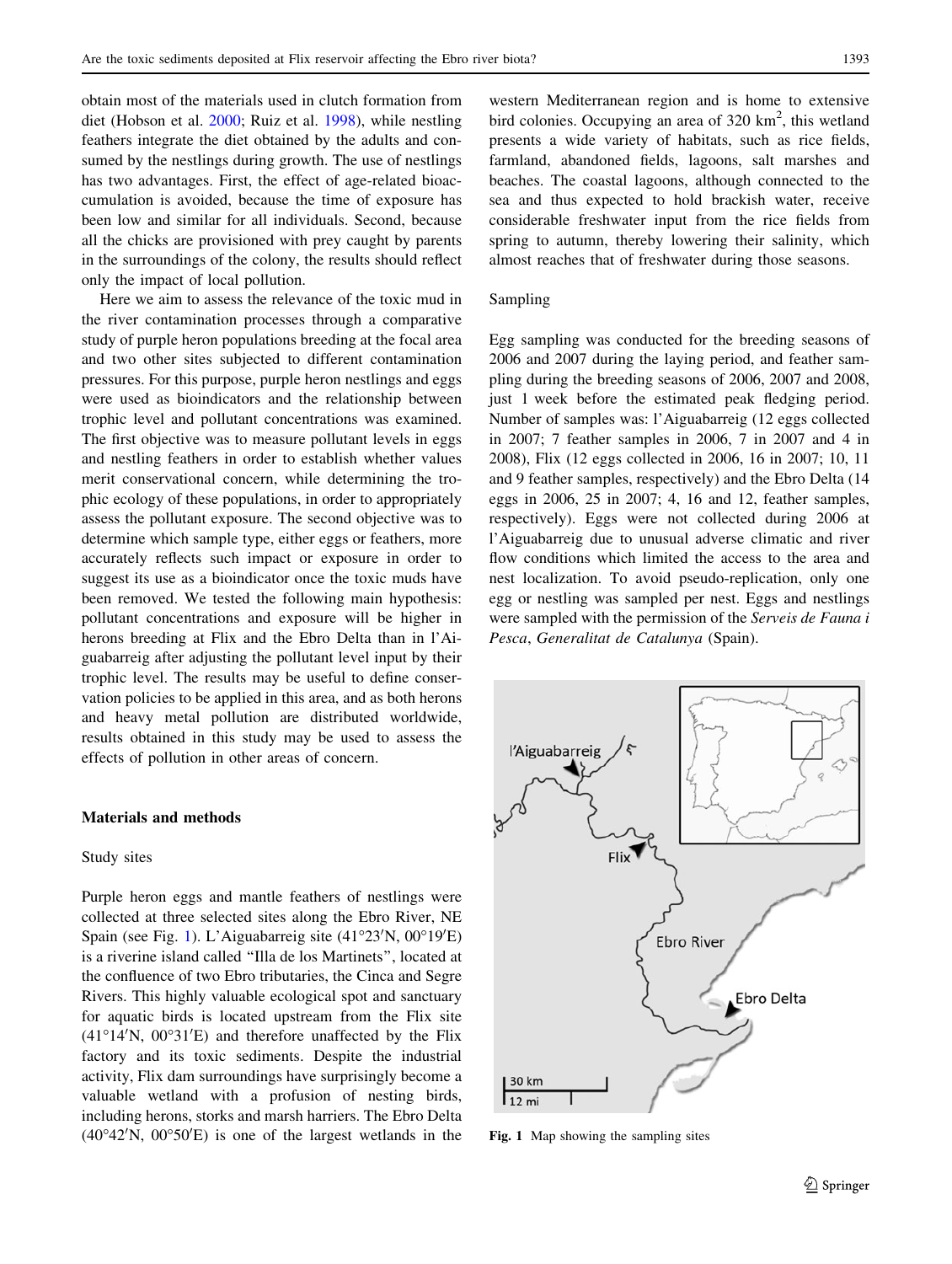obtain most of the materials used in clutch formation from diet (Hobson et al. [2000;](#page-11-0) Ruiz et al. [1998\)](#page-11-0), while nestling feathers integrate the diet obtained by the adults and consumed by the nestlings during growth. The use of nestlings has two advantages. First, the effect of age-related bioaccumulation is avoided, because the time of exposure has been low and similar for all individuals. Second, because all the chicks are provisioned with prey caught by parents in the surroundings of the colony, the results should reflect only the impact of local pollution.

Here we aim to assess the relevance of the toxic mud in the river contamination processes through a comparative study of purple heron populations breeding at the focal area and two other sites subjected to different contamination pressures. For this purpose, purple heron nestlings and eggs were used as bioindicators and the relationship between trophic level and pollutant concentrations was examined. The first objective was to measure pollutant levels in eggs and nestling feathers in order to establish whether values merit conservational concern, while determining the trophic ecology of these populations, in order to appropriately assess the pollutant exposure. The second objective was to determine which sample type, either eggs or feathers, more accurately reflects such impact or exposure in order to suggest its use as a bioindicator once the toxic muds have been removed. We tested the following main hypothesis: pollutant concentrations and exposure will be higher in herons breeding at Flix and the Ebro Delta than in l'Aiguabarreig after adjusting the pollutant level input by their trophic level. The results may be useful to define conservation policies to be applied in this area, and as both herons and heavy metal pollution are distributed worldwide, results obtained in this study may be used to assess the effects of pollution in other areas of concern.

#### Materials and methods

#### Study sites

Purple heron eggs and mantle feathers of nestlings were collected at three selected sites along the Ebro River, NE Spain (see Fig. 1). L'Aiguabarreig site (41°23'N, 00°19'E) is a riverine island called ''Illa de los Martinets'', located at the confluence of two Ebro tributaries, the Cinca and Segre Rivers. This highly valuable ecological spot and sanctuary for aquatic birds is located upstream from the Flix site  $(41°14'N, 00°31'E)$  and therefore unaffected by the Flix factory and its toxic sediments. Despite the industrial activity, Flix dam surroundings have surprisingly become a valuable wetland with a profusion of nesting birds, including herons, storks and marsh harriers. The Ebro Delta  $(40^{\circ}42'N, 00^{\circ}50'E)$  is one of the largest wetlands in the

western Mediterranean region and is home to extensive bird colonies. Occupying an area of  $320 \text{ km}^2$ , this wetland presents a wide variety of habitats, such as rice fields, farmland, abandoned fields, lagoons, salt marshes and beaches. The coastal lagoons, although connected to the sea and thus expected to hold brackish water, receive considerable freshwater input from the rice fields from spring to autumn, thereby lowering their salinity, which almost reaches that of freshwater during those seasons.

## Sampling

Egg sampling was conducted for the breeding seasons of 2006 and 2007 during the laying period, and feather sampling during the breeding seasons of 2006, 2007 and 2008, just 1 week before the estimated peak fledging period. Number of samples was: l'Aiguabarreig (12 eggs collected in 2007; 7 feather samples in 2006, 7 in 2007 and 4 in 2008), Flix (12 eggs collected in 2006, 16 in 2007; 10, 11 and 9 feather samples, respectively) and the Ebro Delta (14 eggs in 2006, 25 in 2007; 4, 16 and 12, feather samples, respectively). Eggs were not collected during 2006 at l'Aiguabarreig due to unusual adverse climatic and river flow conditions which limited the access to the area and nest localization. To avoid pseudo-replication, only one egg or nestling was sampled per nest. Eggs and nestlings were sampled with the permission of the Serveis de Fauna i Pesca, Generalitat de Catalunya (Spain).



Fig. 1 Map showing the sampling sites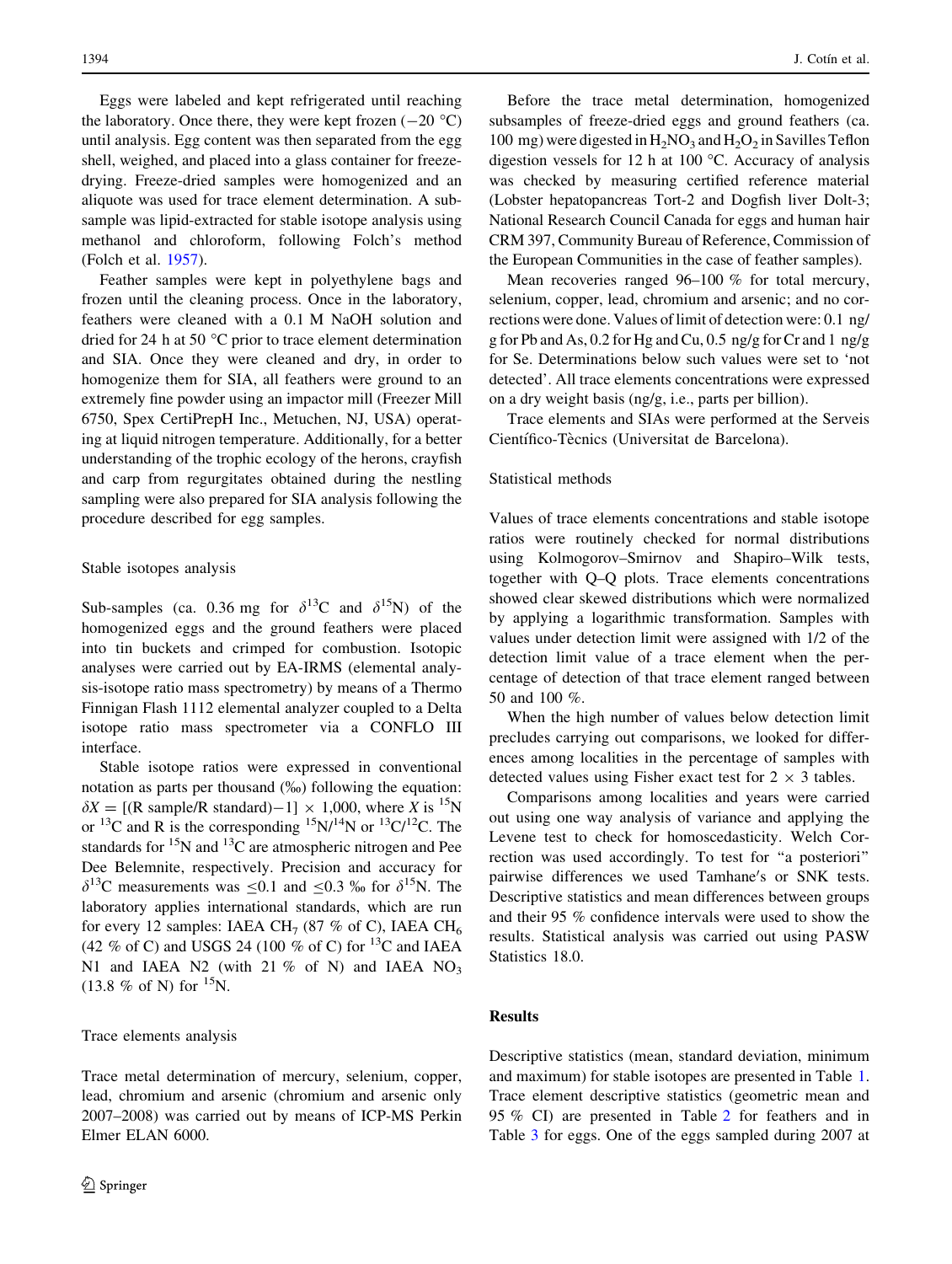Eggs were labeled and kept refrigerated until reaching the laboratory. Once there, they were kept frozen  $(-20 \degree C)$ until analysis. Egg content was then separated from the egg shell, weighed, and placed into a glass container for freezedrying. Freeze-dried samples were homogenized and an aliquote was used for trace element determination. A subsample was lipid-extracted for stable isotope analysis using methanol and chloroform, following Folch's method (Folch et al. [1957](#page-10-0)).

Feather samples were kept in polyethylene bags and frozen until the cleaning process. Once in the laboratory, feathers were cleaned with a 0.1 M NaOH solution and dried for 24 h at 50  $^{\circ}$ C prior to trace element determination and SIA. Once they were cleaned and dry, in order to homogenize them for SIA, all feathers were ground to an extremely fine powder using an impactor mill (Freezer Mill 6750, Spex CertiPrepH Inc., Metuchen, NJ, USA) operating at liquid nitrogen temperature. Additionally, for a better understanding of the trophic ecology of the herons, crayfish and carp from regurgitates obtained during the nestling sampling were also prepared for SIA analysis following the procedure described for egg samples.

## Stable isotopes analysis

Sub-samples (ca. 0.36 mg for  $\delta^{13}$ C and  $\delta^{15}$ N) of the homogenized eggs and the ground feathers were placed into tin buckets and crimped for combustion. Isotopic analyses were carried out by EA-IRMS (elemental analysis-isotope ratio mass spectrometry) by means of a Thermo Finnigan Flash 1112 elemental analyzer coupled to a Delta isotope ratio mass spectrometer via a CONFLO III interface.

Stable isotope ratios were expressed in conventional notation as parts per thousand  $(\%_0)$  following the equation:  $\delta X = [(R \text{ sample/R standard})-1] \times 1,000$ , where X is <sup>15</sup>N or  ${}^{13}C$  and R is the corresponding  ${}^{15}N/{}^{14}N$  or  ${}^{13}C/{}^{12}C$ . The standards for  ${}^{15}N$  and  ${}^{13}C$  are atmospheric nitrogen and Pee Dee Belemnite, respectively. Precision and accuracy for  $\delta^{13}$ C measurements was  $\leq 0.1$  and  $\leq 0.3$  ‰ for  $\delta^{15}$ N. The laboratory applies international standards, which are run for every 12 samples: IAEA CH<sub>7</sub> (87 % of C), IAEA CH<sub>6</sub> (42 % of C) and USGS 24 (100 % of C) for <sup>13</sup>C and IAEA N1 and IAEA N2 (with 21 % of N) and IAEA  $NO_3$ (13.8 % of N) for  $^{15}$ N.

## Trace elements analysis

Trace metal determination of mercury, selenium, copper, lead, chromium and arsenic (chromium and arsenic only 2007–2008) was carried out by means of ICP-MS Perkin Elmer ELAN 6000.

Before the trace metal determination, homogenized subsamples of freeze-dried eggs and ground feathers (ca. 100 mg) were digested in  $H_2NO_3$  and  $H_2O_2$  in Savilles Teflon digestion vessels for 12 h at 100  $^{\circ}$ C. Accuracy of analysis was checked by measuring certified reference material (Lobster hepatopancreas Tort-2 and Dogfish liver Dolt-3; National Research Council Canada for eggs and human hair CRM 397, Community Bureau of Reference, Commission of the European Communities in the case of feather samples).

Mean recoveries ranged 96–100 % for total mercury, selenium, copper, lead, chromium and arsenic; and no corrections were done. Values of limit of detection were: 0.1 ng/ g for Pb and As, 0.2 for Hg and Cu, 0.5 ng/g for Cr and 1 ng/g for Se. Determinations below such values were set to 'not detected'. All trace elements concentrations were expressed on a dry weight basis (ng/g, i.e., parts per billion).

Trace elements and SIAs were performed at the Serveis Científico-Tècnics (Universitat de Barcelona).

#### Statistical methods

Values of trace elements concentrations and stable isotope ratios were routinely checked for normal distributions using Kolmogorov–Smirnov and Shapiro–Wilk tests, together with Q–Q plots. Trace elements concentrations showed clear skewed distributions which were normalized by applying a logarithmic transformation. Samples with values under detection limit were assigned with 1/2 of the detection limit value of a trace element when the percentage of detection of that trace element ranged between 50 and 100 %.

When the high number of values below detection limit precludes carrying out comparisons, we looked for differences among localities in the percentage of samples with detected values using Fisher exact test for  $2 \times 3$  tables.

Comparisons among localities and years were carried out using one way analysis of variance and applying the Levene test to check for homoscedasticity. Welch Correction was used accordingly. To test for ''a posteriori'' pairwise differences we used Tamhane's or SNK tests. Descriptive statistics and mean differences between groups and their 95 % confidence intervals were used to show the results. Statistical analysis was carried out using PASW Statistics 18.0.

## Results

Descriptive statistics (mean, standard deviation, minimum and maximum) for stable isotopes are presented in Table [1.](#page-4-0) Trace element descriptive statistics (geometric mean and 95 % CI) are presented in Table [2](#page-5-0) for feathers and in Table [3](#page-5-0) for eggs. One of the eggs sampled during 2007 at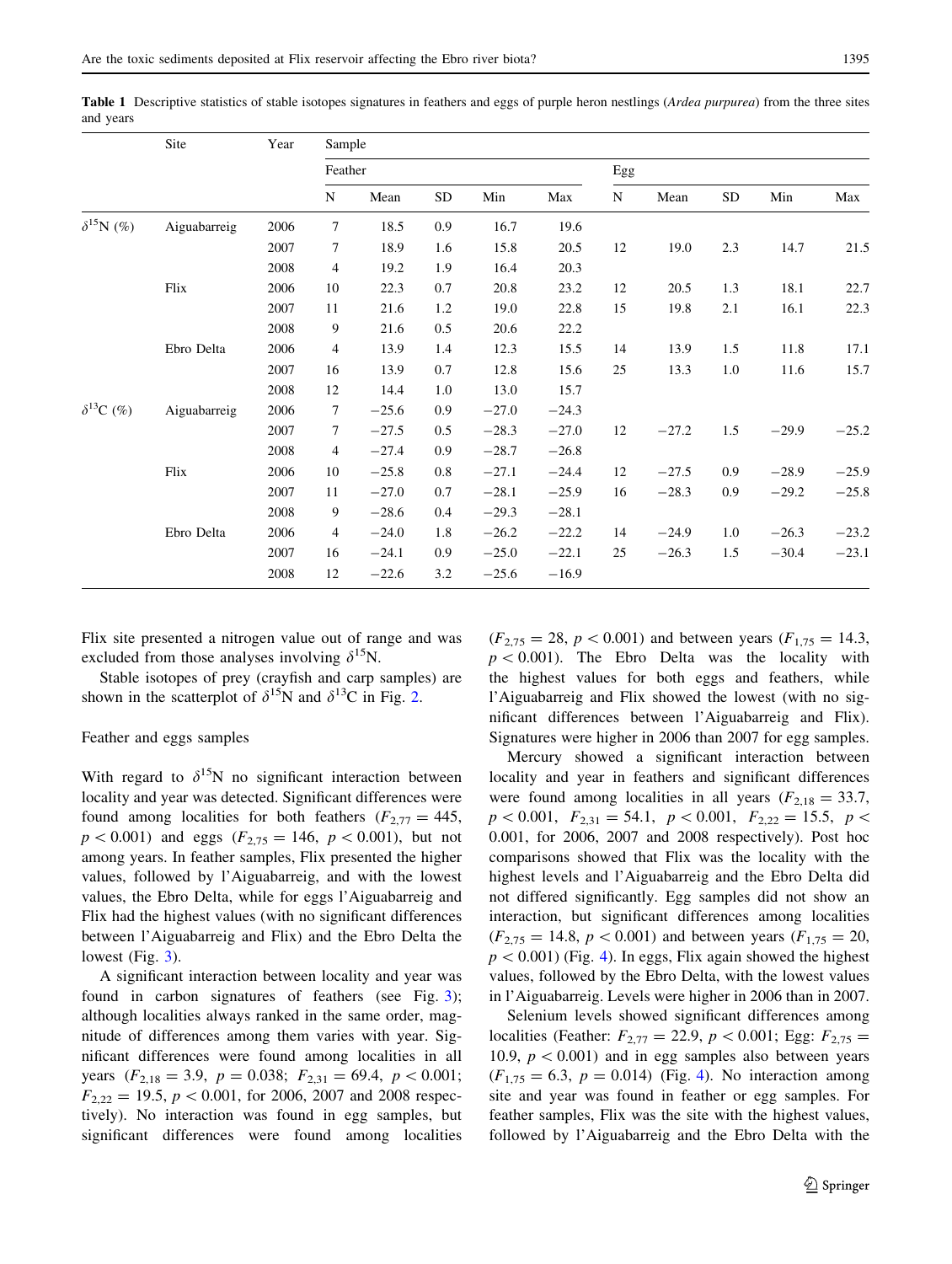<span id="page-4-0"></span>Table 1 Descriptive statistics of stable isotopes signatures in feathers and eggs of purple heron nestlings (Ardea purpurea) from the three sites and years

|                     | Site         | Year | Sample         |         |           |         |         |             |         |     |         |         |  |  |
|---------------------|--------------|------|----------------|---------|-----------|---------|---------|-------------|---------|-----|---------|---------|--|--|
|                     |              |      | Feather        |         |           |         |         |             | Egg     |     |         |         |  |  |
|                     |              |      | N              | Mean    | <b>SD</b> | Min     | Max     | $\mathbf N$ | Mean    | SD  | Min     | Max     |  |  |
| $\delta^{15}N(\%)$  | Aiguabarreig | 2006 | $\tau$         | 18.5    | 0.9       | 16.7    | 19.6    |             |         |     |         |         |  |  |
|                     |              | 2007 | 7              | 18.9    | 1.6       | 15.8    | 20.5    | 12          | 19.0    | 2.3 | 14.7    | 21.5    |  |  |
|                     |              | 2008 | $\overline{4}$ | 19.2    | 1.9       | 16.4    | 20.3    |             |         |     |         |         |  |  |
|                     | Flix         | 2006 | 10             | 22.3    | 0.7       | 20.8    | 23.2    | 12          | 20.5    | 1.3 | 18.1    | 22.7    |  |  |
|                     |              | 2007 | 11             | 21.6    | 1.2       | 19.0    | 22.8    | 15          | 19.8    | 2.1 | 16.1    | 22.3    |  |  |
|                     |              | 2008 | 9              | 21.6    | 0.5       | 20.6    | 22.2    |             |         |     |         |         |  |  |
|                     | Ebro Delta   | 2006 | 4              | 13.9    | 1.4       | 12.3    | 15.5    | 14          | 13.9    | 1.5 | 11.8    | 17.1    |  |  |
|                     |              | 2007 | 16             | 13.9    | 0.7       | 12.8    | 15.6    | 25          | 13.3    | 1.0 | 11.6    | 15.7    |  |  |
|                     |              | 2008 | 12             | 14.4    | 1.0       | 13.0    | 15.7    |             |         |     |         |         |  |  |
| $\delta^{13}C~(\%)$ | Aiguabarreig | 2006 | 7              | $-25.6$ | 0.9       | $-27.0$ | $-24.3$ |             |         |     |         |         |  |  |
|                     |              | 2007 | $\tau$         | $-27.5$ | 0.5       | $-28.3$ | $-27.0$ | 12          | $-27.2$ | 1.5 | $-29.9$ | $-25.2$ |  |  |
|                     |              | 2008 | $\overline{4}$ | $-27.4$ | 0.9       | $-28.7$ | $-26.8$ |             |         |     |         |         |  |  |
|                     | Flix         | 2006 | 10             | $-25.8$ | 0.8       | $-27.1$ | $-24.4$ | 12          | $-27.5$ | 0.9 | $-28.9$ | $-25.9$ |  |  |
|                     |              | 2007 | 11             | $-27.0$ | 0.7       | $-28.1$ | $-25.9$ | 16          | $-28.3$ | 0.9 | $-29.2$ | $-25.8$ |  |  |
|                     |              | 2008 | 9              | $-28.6$ | 0.4       | $-29.3$ | $-28.1$ |             |         |     |         |         |  |  |
|                     | Ebro Delta   | 2006 | $\overline{4}$ | $-24.0$ | 1.8       | $-26.2$ | $-22.2$ | 14          | $-24.9$ | 1.0 | $-26.3$ | $-23.2$ |  |  |
|                     |              | 2007 | 16             | $-24.1$ | 0.9       | $-25.0$ | $-22.1$ | 25          | $-26.3$ | 1.5 | $-30.4$ | $-23.1$ |  |  |
|                     |              | 2008 | 12             | $-22.6$ | 3.2       | $-25.6$ | $-16.9$ |             |         |     |         |         |  |  |

Flix site presented a nitrogen value out of range and was excluded from those analyses involving  $\delta^{15}$ N.

Stable isotopes of prey (crayfish and carp samples) are shown in the scatterplot of  $\delta^{15}N$  and  $\delta^{13}C$  in Fig. [2](#page-6-0).

## Feather and eggs samples

With regard to  $\delta^{15}N$  no significant interaction between locality and year was detected. Significant differences were found among localities for both feathers ( $F_{2,77} = 445$ ,  $p < 0.001$ ) and eggs ( $F_{2,75} = 146$ ,  $p < 0.001$ ), but not among years. In feather samples, Flix presented the higher values, followed by l'Aiguabarreig, and with the lowest values, the Ebro Delta, while for eggs l'Aiguabarreig and Flix had the highest values (with no significant differences between l'Aiguabarreig and Flix) and the Ebro Delta the lowest (Fig. [3\)](#page-6-0).

A significant interaction between locality and year was found in carbon signatures of feathers (see Fig. [3](#page-6-0)); although localities always ranked in the same order, magnitude of differences among them varies with year. Significant differences were found among localities in all years  $(F_{2,18} = 3.9, p = 0.038; F_{2,31} = 69.4, p < 0.001;$  $F_{2,22} = 19.5, p < 0.001$ , for 2006, 2007 and 2008 respectively). No interaction was found in egg samples, but significant differences were found among localities  $(F_{2,75} = 28, p < 0.001)$  and between years  $(F_{1,75} = 14.3,$  $p < 0.001$ ). The Ebro Delta was the locality with the highest values for both eggs and feathers, while l'Aiguabarreig and Flix showed the lowest (with no significant differences between l'Aiguabarreig and Flix). Signatures were higher in 2006 than 2007 for egg samples.

Mercury showed a significant interaction between locality and year in feathers and significant differences were found among localities in all years ( $F_{2,18} = 33.7$ ,  $p < 0.001$ ,  $F_{2,31} = 54.1$ ,  $p < 0.001$ ,  $F_{2,22} = 15.5$ ,  $p <$ 0.001, for 2006, 2007 and 2008 respectively). Post hoc comparisons showed that Flix was the locality with the highest levels and l'Aiguabarreig and the Ebro Delta did not differed significantly. Egg samples did not show an interaction, but significant differences among localities  $(F_{2.75} = 14.8, p < 0.001)$  and between years  $(F_{1,75} = 20,$  $p < 0.001$ ) (Fig. [4](#page-7-0)). In eggs, Flix again showed the highest values, followed by the Ebro Delta, with the lowest values in l'Aiguabarreig. Levels were higher in 2006 than in 2007.

Selenium levels showed significant differences among localities (Feather:  $F_{2,77} = 22.9, p < 0.001$ ; Egg:  $F_{2,75} =$ 10.9,  $p < 0.001$ ) and in egg samples also between years  $(F_{1,75} = 6.3, p = 0.014)$  $(F_{1,75} = 6.3, p = 0.014)$  (Fig. 4). No interaction among site and year was found in feather or egg samples. For feather samples, Flix was the site with the highest values, followed by l'Aiguabarreig and the Ebro Delta with the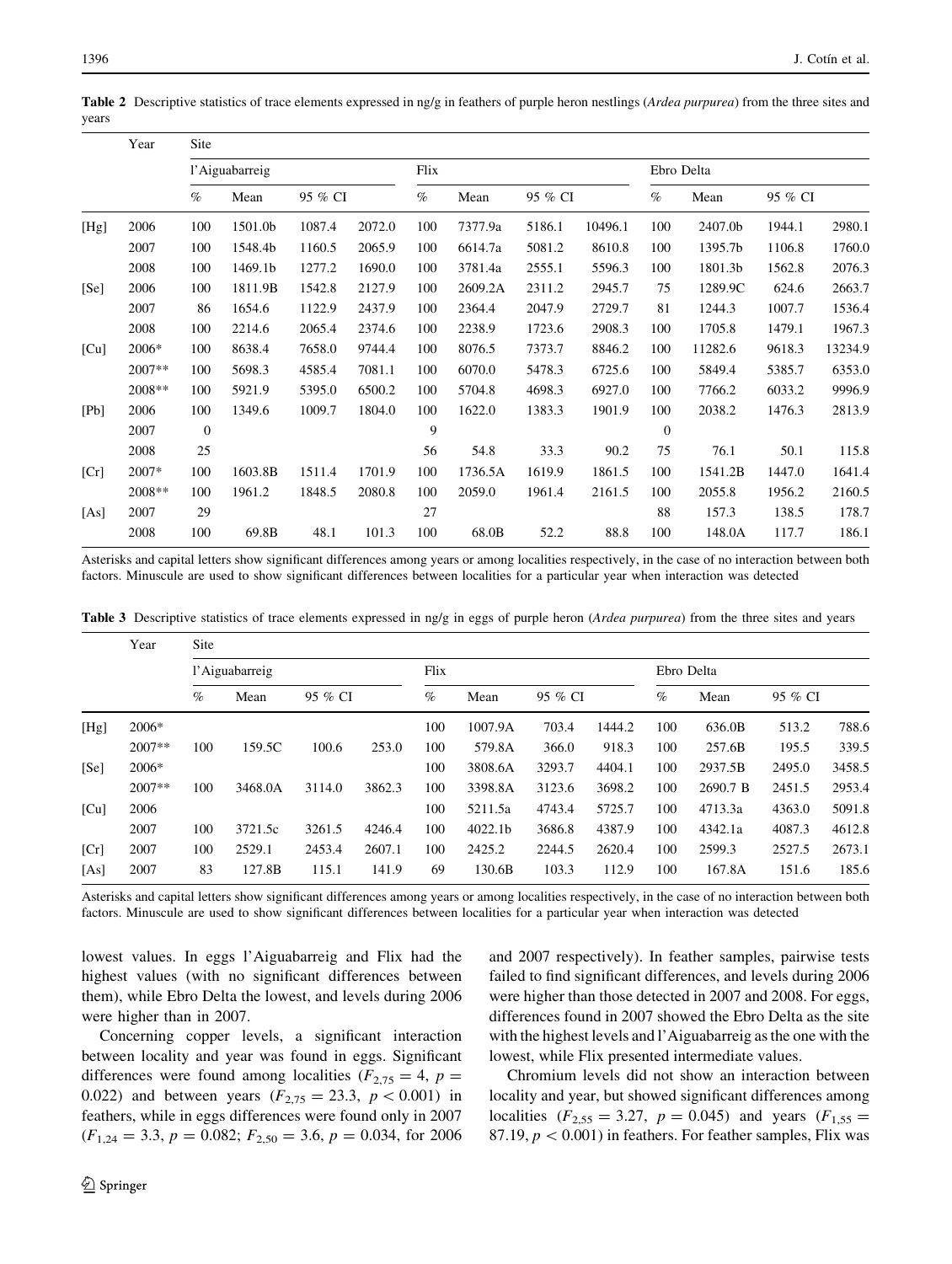|      | Year   | Site             |                 |         |        |      |         |         |         |                |         |         |         |
|------|--------|------------------|-----------------|---------|--------|------|---------|---------|---------|----------------|---------|---------|---------|
| [Hg] |        | l'Aiguabarreig   |                 |         |        | Flix |         |         |         | Ebro Delta     |         |         |         |
|      | 2006   | $\%$<br>100      | Mean<br>1501.0b | 95 % CI |        | $\%$ | Mean    | 95 % CI |         | $\%$           | Mean    | 95 % CI |         |
|      |        |                  |                 | 1087.4  | 2072.0 | 100  | 7377.9a | 5186.1  | 10496.1 | 100            | 2407.0b | 1944.1  | 2980.1  |
|      | 2007   | 100              | 1548.4b         | 1160.5  | 2065.9 | 100  | 6614.7a | 5081.2  | 8610.8  | 100            | 1395.7b | 1106.8  | 1760.0  |
|      | 2008   | 100              | 1469.1b         | 1277.2  | 1690.0 | 100  | 3781.4a | 2555.1  | 5596.3  | 100            | 1801.3b | 1562.8  | 2076.3  |
| [Se] | 2006   | 100              | 1811.9B         | 1542.8  | 2127.9 | 100  | 2609.2A | 2311.2  | 2945.7  | 75             | 1289.9C | 624.6   | 2663.7  |
|      | 2007   | 86               | 1654.6          | 1122.9  | 2437.9 | 100  | 2364.4  | 2047.9  | 2729.7  | 81             | 1244.3  | 1007.7  | 1536.4  |
|      | 2008   | 100              | 2214.6          | 2065.4  | 2374.6 | 100  | 2238.9  | 1723.6  | 2908.3  | 100            | 1705.8  | 1479.1  | 1967.3  |
| [Cu] | 2006*  | 100              | 8638.4          | 7658.0  | 9744.4 | 100  | 8076.5  | 7373.7  | 8846.2  | 100            | 11282.6 | 9618.3  | 13234.9 |
|      | 2007** | 100              | 5698.3          | 4585.4  | 7081.1 | 100  | 6070.0  | 5478.3  | 6725.6  | 100            | 5849.4  | 5385.7  | 6353.0  |
|      | 2008** | 100              | 5921.9          | 5395.0  | 6500.2 | 100  | 5704.8  | 4698.3  | 6927.0  | 100            | 7766.2  | 6033.2  | 9996.9  |
| [Pb] | 2006   | 100              | 1349.6          | 1009.7  | 1804.0 | 100  | 1622.0  | 1383.3  | 1901.9  | 100            | 2038.2  | 1476.3  | 2813.9  |
|      | 2007   | $\boldsymbol{0}$ |                 |         |        | 9    |         |         |         | $\overline{0}$ |         |         |         |
|      | 2008   | 25               |                 |         |        | 56   | 54.8    | 33.3    | 90.2    | 75             | 76.1    | 50.1    | 115.8   |
| [Cr] | 2007*  | 100              | 1603.8B         | 1511.4  | 1701.9 | 100  | 1736.5A | 1619.9  | 1861.5  | 100            | 1541.2B | 1447.0  | 1641.4  |
|      | 2008** | 100              | 1961.2          | 1848.5  | 2080.8 | 100  | 2059.0  | 1961.4  | 2161.5  | 100            | 2055.8  | 1956.2  | 2160.5  |
| [As] | 2007   | 29               |                 |         |        | 27   |         |         |         | 88             | 157.3   | 138.5   | 178.7   |
|      | 2008   | 100              | 69.8B           | 48.1    | 101.3  | 100  | 68.0B   | 52.2    | 88.8    | 100            | 148.0A  | 117.7   | 186.1   |

<span id="page-5-0"></span>Table 2 Descriptive statistics of trace elements expressed in ng/g in feathers of purple heron nestlings (Ardea purpurea) from the three sites and years

Asterisks and capital letters show significant differences among years or among localities respectively, in the case of no interaction between both factors. Minuscule are used to show significant differences between localities for a particular year when interaction was detected

Table 3 Descriptive statistics of trace elements expressed in ng/g in eggs of purple heron (Ardea purpurea) from the three sites and years

|      | Year     | Site           |         |         |        |      |                     |         |        |            |          |         |        |  |
|------|----------|----------------|---------|---------|--------|------|---------------------|---------|--------|------------|----------|---------|--------|--|
| [Hg] | $2006*$  | l'Aiguabarreig |         |         |        | Flix |                     |         |        | Ebro Delta |          |         |        |  |
|      |          | $\%$           | Mean    | 95 % CI |        | $\%$ | Mean                | 95 % CI |        | $\%$       | Mean     | 95 % CI |        |  |
|      |          |                |         |         |        | 100  | 1007.9A             | 703.4   | 1444.2 | 100        | 636.0B   | 513.2   | 788.6  |  |
|      | $2007**$ | 100            | 159.5C  | 100.6   | 253.0  | 100  | 579.8A              | 366.0   | 918.3  | 100        | 257.6B   | 195.5   | 339.5  |  |
| [Se] | 2006*    |                |         |         |        | 100  | 3808.6A             | 3293.7  | 4404.1 | 100        | 2937.5B  | 2495.0  | 3458.5 |  |
|      | $2007**$ | 100            | 3468.0A | 3114.0  | 3862.3 | 100  | 3398.8A             | 3123.6  | 3698.2 | 100        | 2690.7 B | 2451.5  | 2953.4 |  |
| [Cu] | 2006     |                |         |         |        | 100  | 5211.5a             | 4743.4  | 5725.7 | 100        | 4713.3a  | 4363.0  | 5091.8 |  |
|      | 2007     | 100            | 3721.5c | 3261.5  | 4246.4 | 100  | 4022.1 <sub>b</sub> | 3686.8  | 4387.9 | 100        | 4342.1a  | 4087.3  | 4612.8 |  |
| [Cr] | 2007     | 100            | 2529.1  | 2453.4  | 2607.1 | 100  | 2425.2              | 2244.5  | 2620.4 | 100        | 2599.3   | 2527.5  | 2673.1 |  |
| [As] | 2007     | 83             | 127.8B  | 115.1   | 141.9  | 69   | 130.6B              | 103.3   | 112.9  | 100        | 167.8A   | 151.6   | 185.6  |  |

Asterisks and capital letters show significant differences among years or among localities respectively, in the case of no interaction between both factors. Minuscule are used to show significant differences between localities for a particular year when interaction was detected

lowest values. In eggs l'Aiguabarreig and Flix had the highest values (with no significant differences between them), while Ebro Delta the lowest, and levels during 2006 were higher than in 2007.

Concerning copper levels, a significant interaction between locality and year was found in eggs. Significant differences were found among localities ( $F_{2,75} = 4$ ,  $p =$ 0.022) and between years  $(F_{2,75} = 23.3, p < 0.001)$  in feathers, while in eggs differences were found only in 2007  $(F_{1,24} = 3.3, p = 0.082; F_{2,50} = 3.6, p = 0.034,$  for 2006 and 2007 respectively). In feather samples, pairwise tests failed to find significant differences, and levels during 2006 were higher than those detected in 2007 and 2008. For eggs, differences found in 2007 showed the Ebro Delta as the site with the highest levels and l'Aiguabarreig as the one with the lowest, while Flix presented intermediate values.

Chromium levels did not show an interaction between locality and year, but showed significant differences among localities  $(F_{2,55} = 3.27, p = 0.045)$  and years  $(F_{1,55} =$ 87.19,  $p < 0.001$ ) in feathers. For feather samples, Flix was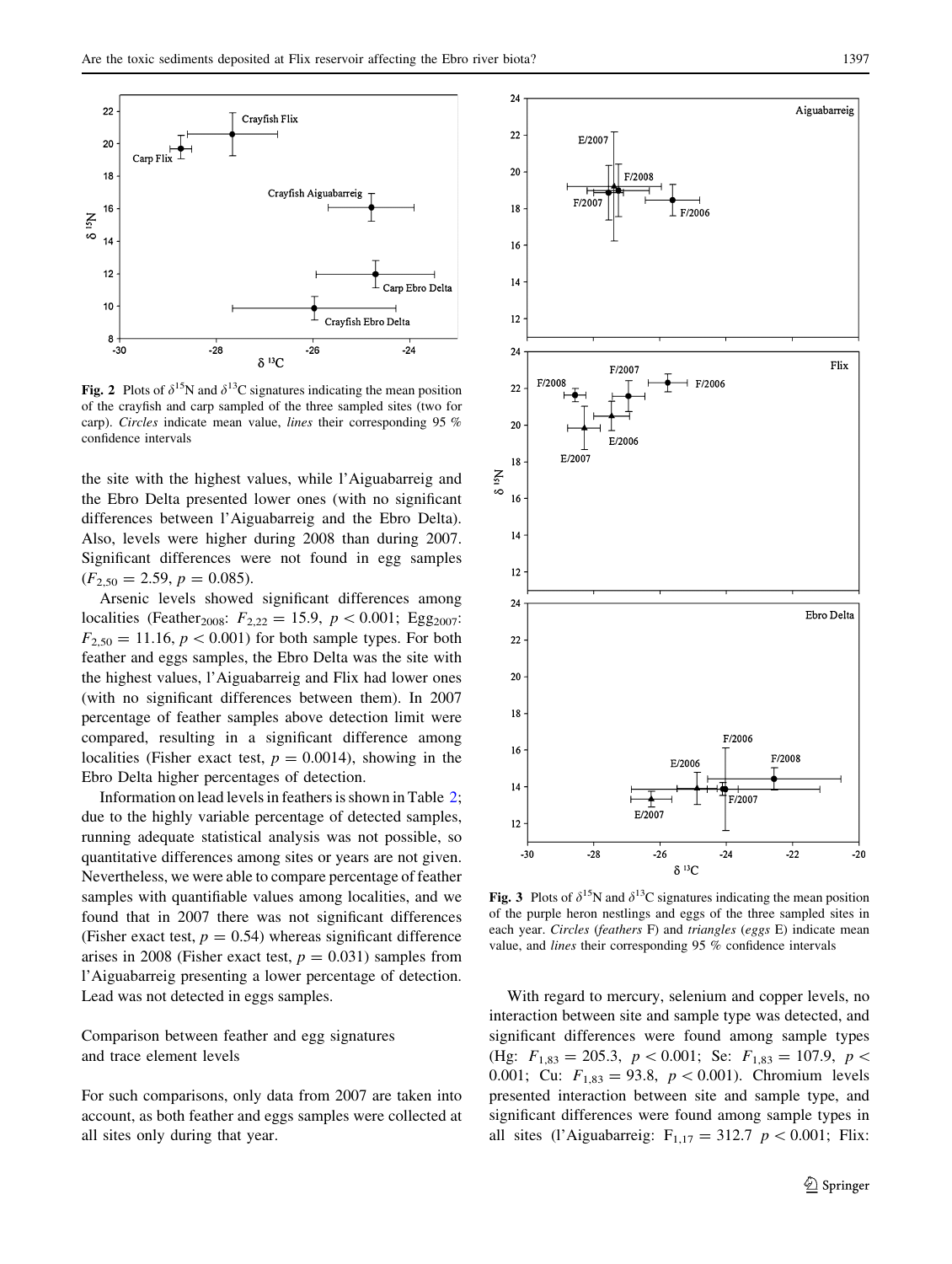<span id="page-6-0"></span>

Fig. 2 Plots of  $\delta^{15}N$  and  $\delta^{13}C$  signatures indicating the mean position of the crayfish and carp sampled of the three sampled sites (two for carp). Circles indicate mean value, lines their corresponding 95 % confidence intervals

the site with the highest values, while l'Aiguabarreig and the Ebro Delta presented lower ones (with no significant differences between l'Aiguabarreig and the Ebro Delta). Also, levels were higher during 2008 than during 2007. Significant differences were not found in egg samples  $(F_{2,50} = 2.59, p = 0.085).$ 

Arsenic levels showed significant differences among localities (Feather<sub>2008</sub>:  $F_{2,22} = 15.9$ ,  $p < 0.001$ ; Egg<sub>2007</sub>:  $F_{2,50} = 11.16, p < 0.001$  for both sample types. For both feather and eggs samples, the Ebro Delta was the site with the highest values, l'Aiguabarreig and Flix had lower ones (with no significant differences between them). In 2007 percentage of feather samples above detection limit were compared, resulting in a significant difference among localities (Fisher exact test,  $p = 0.0014$ ), showing in the Ebro Delta higher percentages of detection.

Information on lead levels in feathers is shown in Table [2](#page-5-0); due to the highly variable percentage of detected samples, running adequate statistical analysis was not possible, so quantitative differences among sites or years are not given. Nevertheless, we were able to compare percentage of feather samples with quantifiable values among localities, and we found that in 2007 there was not significant differences (Fisher exact test,  $p = 0.54$ ) whereas significant difference arises in 2008 (Fisher exact test,  $p = 0.031$ ) samples from l'Aiguabarreig presenting a lower percentage of detection. Lead was not detected in eggs samples.

Comparison between feather and egg signatures and trace element levels

For such comparisons, only data from 2007 are taken into account, as both feather and eggs samples were collected at all sites only during that year.



Fig. 3 Plots of  $\delta^{15}N$  and  $\delta^{13}C$  signatures indicating the mean position of the purple heron nestlings and eggs of the three sampled sites in each year. Circles (feathers F) and triangles (eggs E) indicate mean value, and lines their corresponding 95 % confidence intervals

With regard to mercury, selenium and copper levels, no interaction between site and sample type was detected, and significant differences were found among sample types (Hg:  $F_{1,83} = 205.3$ ,  $p < 0.001$ ; Se:  $F_{1,83} = 107.9$ ,  $p <$ 0.001; Cu:  $F_{1,83} = 93.8$ ,  $p < 0.001$ ). Chromium levels presented interaction between site and sample type, and significant differences were found among sample types in all sites (l'Aiguabarreig:  $F_{1,17} = 312.7 \, p < 0.001$ ; Flix: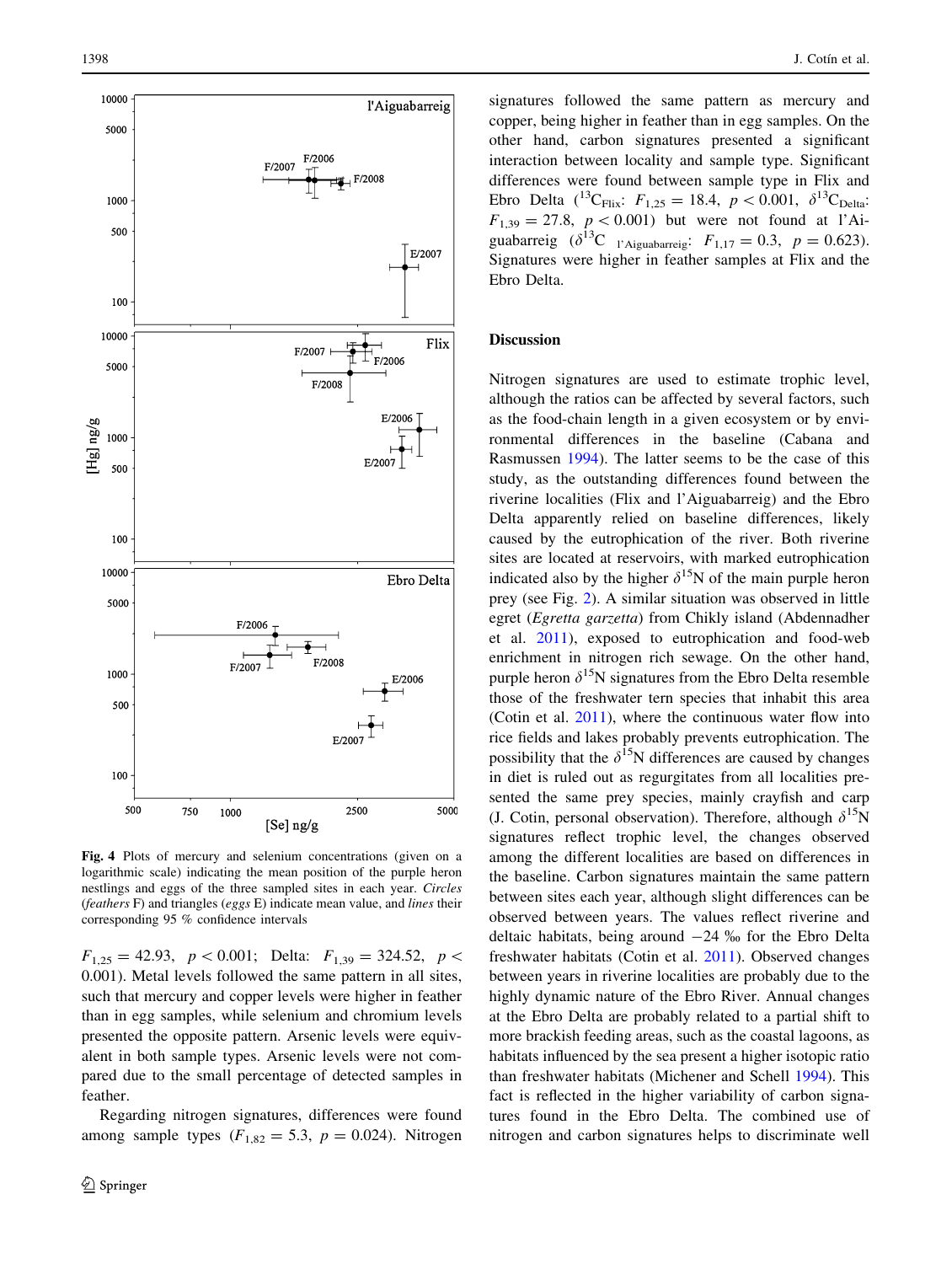<span id="page-7-0"></span>

Fig. 4 Plots of mercury and selenium concentrations (given on a logarithmic scale) indicating the mean position of the purple heron nestlings and eggs of the three sampled sites in each year. Circles (feathers F) and triangles (eggs E) indicate mean value, and lines their corresponding 95 % confidence intervals

 $F_{1,25} = 42.93$ ,  $p < 0.001$ ; Delta:  $F_{1,39} = 324.52$ ,  $p <$ 0.001). Metal levels followed the same pattern in all sites, such that mercury and copper levels were higher in feather than in egg samples, while selenium and chromium levels presented the opposite pattern. Arsenic levels were equivalent in both sample types. Arsenic levels were not compared due to the small percentage of detected samples in feather.

Regarding nitrogen signatures, differences were found among sample types  $(F_{1,82} = 5.3, p = 0.024)$ . Nitrogen

signatures followed the same pattern as mercury and copper, being higher in feather than in egg samples. On the other hand, carbon signatures presented a significant interaction between locality and sample type. Significant differences were found between sample type in Flix and Ebro Delta (<sup>13</sup>C<sub>Flix</sub>:  $F_{1,25} = 18.4, p < 0.001, \delta^{13}C_{\text{Delta}}$ .  $F_{1,39} = 27.8$ ,  $p < 0.001$ ) but were not found at l'Aiguabarreig ( $\delta^{13}C$  l'Aiguabarreig:  $F_{1,17} = 0.3$ ,  $p = 0.623$ ). Signatures were higher in feather samples at Flix and the Ebro Delta.

## Discussion

Nitrogen signatures are used to estimate trophic level, although the ratios can be affected by several factors, such as the food-chain length in a given ecosystem or by environmental differences in the baseline (Cabana and Rasmussen [1994\)](#page-10-0). The latter seems to be the case of this study, as the outstanding differences found between the riverine localities (Flix and l'Aiguabarreig) and the Ebro Delta apparently relied on baseline differences, likely caused by the eutrophication of the river. Both riverine sites are located at reservoirs, with marked eutrophication indicated also by the higher  $\delta^{15}N$  of the main purple heron prey (see Fig. [2](#page-6-0)). A similar situation was observed in little egret (Egretta garzetta) from Chikly island (Abdennadher et al. [2011\)](#page-9-0), exposed to eutrophication and food-web enrichment in nitrogen rich sewage. On the other hand, purple heron  $\delta^{15}N$  signatures from the Ebro Delta resemble those of the freshwater tern species that inhabit this area (Cotin et al. [2011\)](#page-10-0), where the continuous water flow into rice fields and lakes probably prevents eutrophication. The possibility that the  $\delta^{15}N$  differences are caused by changes in diet is ruled out as regurgitates from all localities presented the same prey species, mainly crayfish and carp (J. Cotin, personal observation). Therefore, although  $\delta^{15}N$ signatures reflect trophic level, the changes observed among the different localities are based on differences in the baseline. Carbon signatures maintain the same pattern between sites each year, although slight differences can be observed between years. The values reflect riverine and deltaic habitats, being around  $-24$  ‰ for the Ebro Delta freshwater habitats (Cotin et al. [2011\)](#page-10-0). Observed changes between years in riverine localities are probably due to the highly dynamic nature of the Ebro River. Annual changes at the Ebro Delta are probably related to a partial shift to more brackish feeding areas, such as the coastal lagoons, as habitats influenced by the sea present a higher isotopic ratio than freshwater habitats (Michener and Schell [1994](#page-11-0)). This fact is reflected in the higher variability of carbon signatures found in the Ebro Delta. The combined use of nitrogen and carbon signatures helps to discriminate well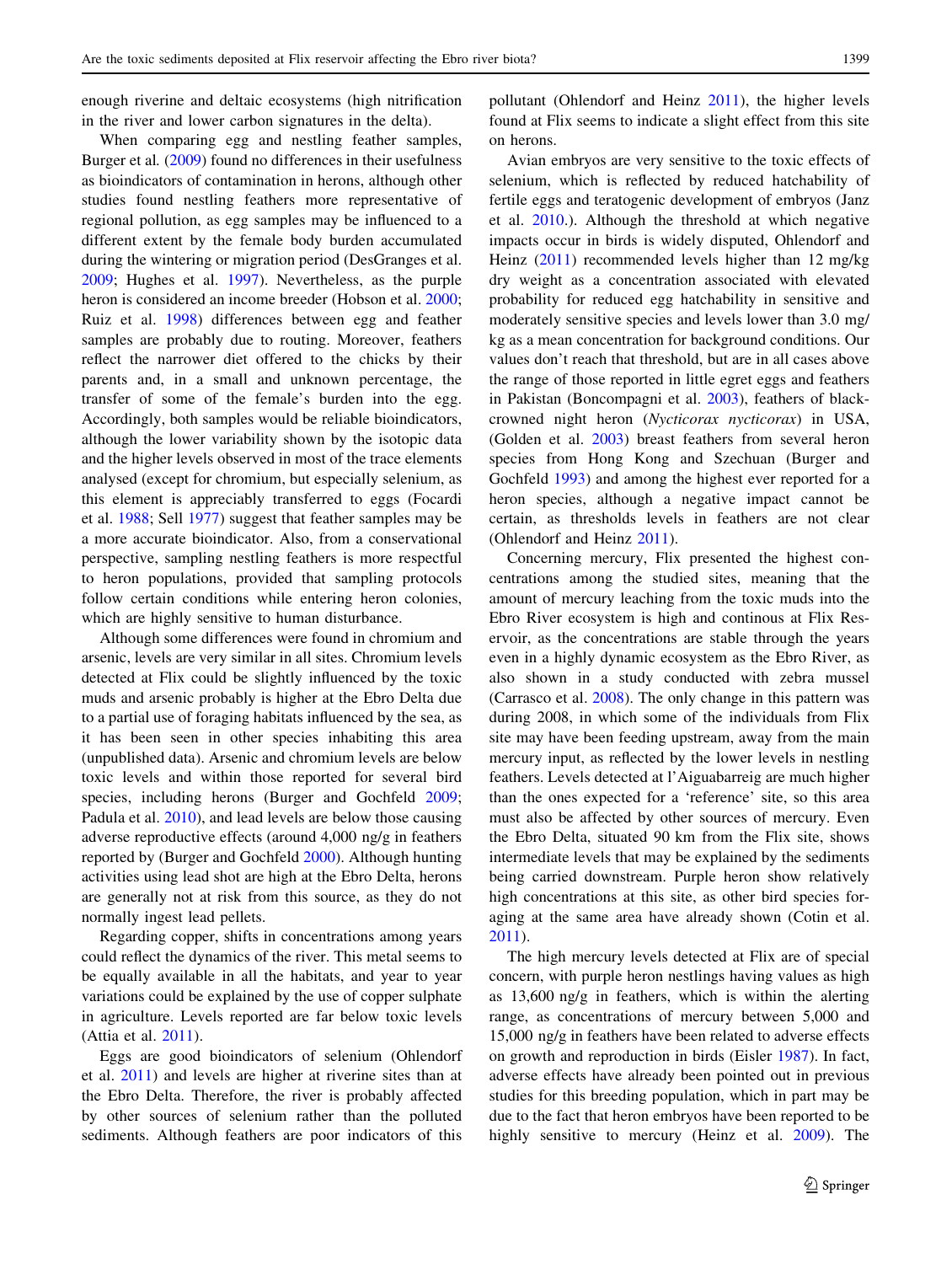enough riverine and deltaic ecosystems (high nitrification in the river and lower carbon signatures in the delta).

When comparing egg and nestling feather samples, Burger et al. [\(2009](#page-10-0)) found no differences in their usefulness as bioindicators of contamination in herons, although other studies found nestling feathers more representative of regional pollution, as egg samples may be influenced to a different extent by the female body burden accumulated during the wintering or migration period (DesGranges et al. [2009;](#page-10-0) Hughes et al. [1997](#page-11-0)). Nevertheless, as the purple heron is considered an income breeder (Hobson et al. [2000](#page-11-0); Ruiz et al. [1998\)](#page-11-0) differences between egg and feather samples are probably due to routing. Moreover, feathers reflect the narrower diet offered to the chicks by their parents and, in a small and unknown percentage, the transfer of some of the female's burden into the egg. Accordingly, both samples would be reliable bioindicators, although the lower variability shown by the isotopic data and the higher levels observed in most of the trace elements analysed (except for chromium, but especially selenium, as this element is appreciably transferred to eggs (Focardi et al. [1988;](#page-10-0) Sell [1977](#page-11-0)) suggest that feather samples may be a more accurate bioindicator. Also, from a conservational perspective, sampling nestling feathers is more respectful to heron populations, provided that sampling protocols follow certain conditions while entering heron colonies, which are highly sensitive to human disturbance.

Although some differences were found in chromium and arsenic, levels are very similar in all sites. Chromium levels detected at Flix could be slightly influenced by the toxic muds and arsenic probably is higher at the Ebro Delta due to a partial use of foraging habitats influenced by the sea, as it has been seen in other species inhabiting this area (unpublished data). Arsenic and chromium levels are below toxic levels and within those reported for several bird species, including herons (Burger and Gochfeld [2009](#page-10-0); Padula et al. [2010\)](#page-11-0), and lead levels are below those causing adverse reproductive effects (around 4,000 ng/g in feathers reported by (Burger and Gochfeld [2000\)](#page-10-0). Although hunting activities using lead shot are high at the Ebro Delta, herons are generally not at risk from this source, as they do not normally ingest lead pellets.

Regarding copper, shifts in concentrations among years could reflect the dynamics of the river. This metal seems to be equally available in all the habitats, and year to year variations could be explained by the use of copper sulphate in agriculture. Levels reported are far below toxic levels (Attia et al. [2011](#page-9-0)).

Eggs are good bioindicators of selenium (Ohlendorf et al. [2011\)](#page-11-0) and levels are higher at riverine sites than at the Ebro Delta. Therefore, the river is probably affected by other sources of selenium rather than the polluted sediments. Although feathers are poor indicators of this pollutant (Ohlendorf and Heinz [2011](#page-11-0)), the higher levels found at Flix seems to indicate a slight effect from this site on herons.

Avian embryos are very sensitive to the toxic effects of selenium, which is reflected by reduced hatchability of fertile eggs and teratogenic development of embryos (Janz et al. [2010](#page-11-0).). Although the threshold at which negative impacts occur in birds is widely disputed, Ohlendorf and Heinz ([2011\)](#page-11-0) recommended levels higher than 12 mg/kg dry weight as a concentration associated with elevated probability for reduced egg hatchability in sensitive and moderately sensitive species and levels lower than 3.0 mg/ kg as a mean concentration for background conditions. Our values don't reach that threshold, but are in all cases above the range of those reported in little egret eggs and feathers in Pakistan (Boncompagni et al. [2003](#page-10-0)), feathers of blackcrowned night heron (Nycticorax nycticorax) in USA, (Golden et al. [2003](#page-10-0)) breast feathers from several heron species from Hong Kong and Szechuan (Burger and Gochfeld [1993](#page-10-0)) and among the highest ever reported for a heron species, although a negative impact cannot be certain, as thresholds levels in feathers are not clear (Ohlendorf and Heinz [2011\)](#page-11-0).

Concerning mercury, Flix presented the highest concentrations among the studied sites, meaning that the amount of mercury leaching from the toxic muds into the Ebro River ecosystem is high and continous at Flix Reservoir, as the concentrations are stable through the years even in a highly dynamic ecosystem as the Ebro River, as also shown in a study conducted with zebra mussel (Carrasco et al. [2008\)](#page-10-0). The only change in this pattern was during 2008, in which some of the individuals from Flix site may have been feeding upstream, away from the main mercury input, as reflected by the lower levels in nestling feathers. Levels detected at l'Aiguabarreig are much higher than the ones expected for a 'reference' site, so this area must also be affected by other sources of mercury. Even the Ebro Delta, situated 90 km from the Flix site, shows intermediate levels that may be explained by the sediments being carried downstream. Purple heron show relatively high concentrations at this site, as other bird species foraging at the same area have already shown (Cotin et al. [2011](#page-10-0)).

The high mercury levels detected at Flix are of special concern, with purple heron nestlings having values as high as 13,600 ng/g in feathers, which is within the alerting range, as concentrations of mercury between 5,000 and 15,000 ng/g in feathers have been related to adverse effects on growth and reproduction in birds (Eisler [1987](#page-10-0)). In fact, adverse effects have already been pointed out in previous studies for this breeding population, which in part may be due to the fact that heron embryos have been reported to be highly sensitive to mercury (Heinz et al. [2009\)](#page-10-0). The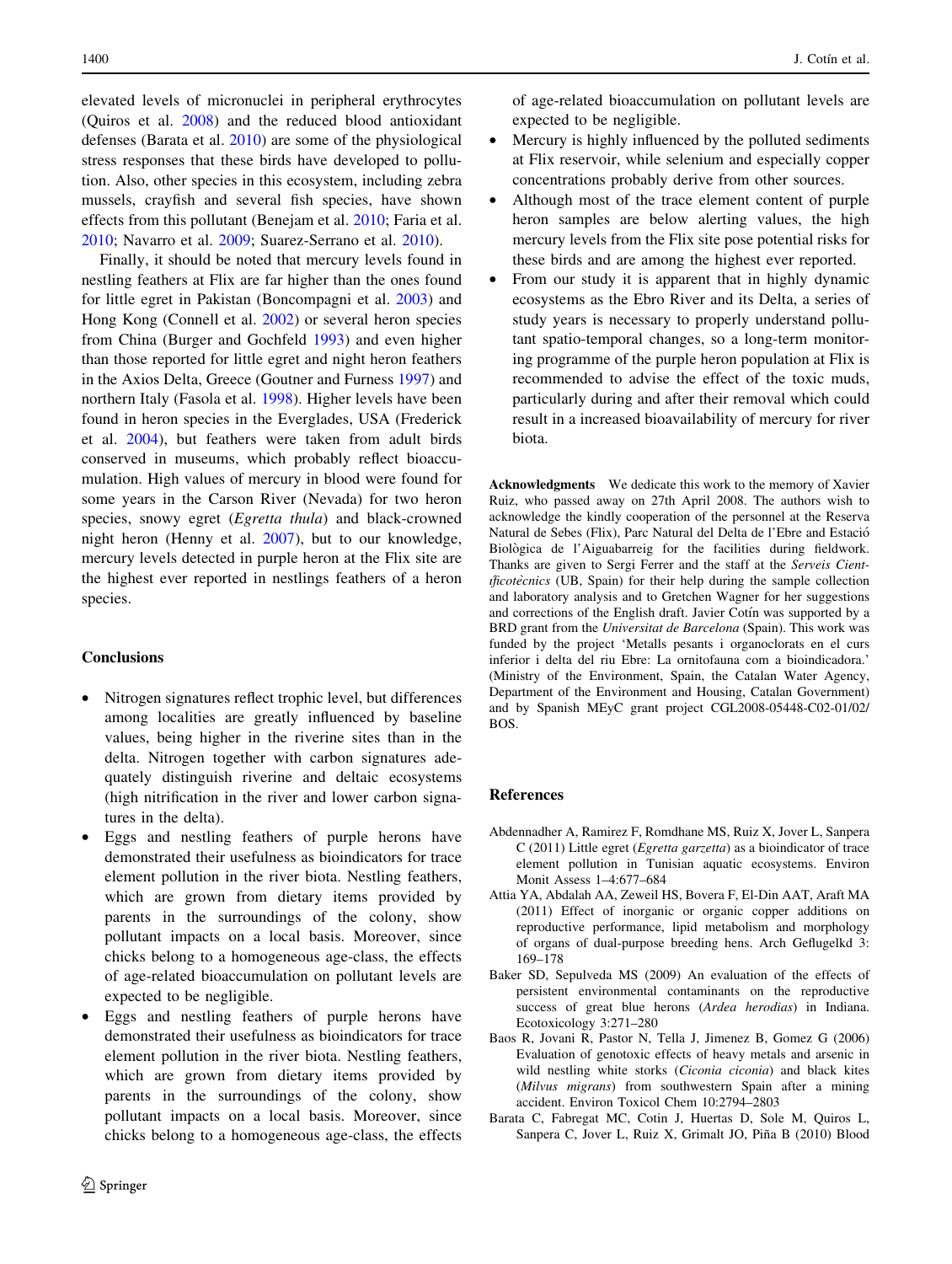<span id="page-9-0"></span>elevated levels of micronuclei in peripheral erythrocytes (Quiros et al. [2008\)](#page-11-0) and the reduced blood antioxidant defenses (Barata et al. 2010) are some of the physiological stress responses that these birds have developed to pollution. Also, other species in this ecosystem, including zebra mussels, crayfish and several fish species, have shown effects from this pollutant (Benejam et al. [2010](#page-10-0); Faria et al. [2010;](#page-10-0) Navarro et al. [2009;](#page-11-0) Suarez-Serrano et al. [2010\)](#page-11-0).

Finally, it should be noted that mercury levels found in nestling feathers at Flix are far higher than the ones found for little egret in Pakistan (Boncompagni et al. [2003\)](#page-10-0) and Hong Kong (Connell et al. [2002](#page-10-0)) or several heron species from China (Burger and Gochfeld [1993\)](#page-10-0) and even higher than those reported for little egret and night heron feathers in the Axios Delta, Greece (Goutner and Furness [1997\)](#page-10-0) and northern Italy (Fasola et al. [1998](#page-10-0)). Higher levels have been found in heron species in the Everglades, USA (Frederick et al. [2004](#page-10-0)), but feathers were taken from adult birds conserved in museums, which probably reflect bioaccumulation. High values of mercury in blood were found for some years in the Carson River (Nevada) for two heron species, snowy egret (Egretta thula) and black-crowned night heron (Henny et al. [2007\)](#page-11-0), but to our knowledge, mercury levels detected in purple heron at the Flix site are the highest ever reported in nestlings feathers of a heron species.

#### **Conclusions**

- Nitrogen signatures reflect trophic level, but differences among localities are greatly influenced by baseline values, being higher in the riverine sites than in the delta. Nitrogen together with carbon signatures adequately distinguish riverine and deltaic ecosystems (high nitrification in the river and lower carbon signatures in the delta).
- Eggs and nestling feathers of purple herons have demonstrated their usefulness as bioindicators for trace element pollution in the river biota. Nestling feathers, which are grown from dietary items provided by parents in the surroundings of the colony, show pollutant impacts on a local basis. Moreover, since chicks belong to a homogeneous age-class, the effects of age-related bioaccumulation on pollutant levels are expected to be negligible.
- Eggs and nestling feathers of purple herons have demonstrated their usefulness as bioindicators for trace element pollution in the river biota. Nestling feathers, which are grown from dietary items provided by parents in the surroundings of the colony, show pollutant impacts on a local basis. Moreover, since chicks belong to a homogeneous age-class, the effects

of age-related bioaccumulation on pollutant levels are expected to be negligible.

- Mercury is highly influenced by the polluted sediments at Flix reservoir, while selenium and especially copper concentrations probably derive from other sources.
- Although most of the trace element content of purple heron samples are below alerting values, the high mercury levels from the Flix site pose potential risks for these birds and are among the highest ever reported.
- From our study it is apparent that in highly dynamic ecosystems as the Ebro River and its Delta, a series of study years is necessary to properly understand pollutant spatio-temporal changes, so a long-term monitoring programme of the purple heron population at Flix is recommended to advise the effect of the toxic muds, particularly during and after their removal which could result in a increased bioavailability of mercury for river biota.

Acknowledgments We dedicate this work to the memory of Xavier Ruiz, who passed away on 27th April 2008. The authors wish to acknowledge the kindly cooperation of the personnel at the Reserva Natural de Sebes (Flix), Parc Natural del Delta de l'Ebre and Estacio´ Biològica de l'Aiguabarreig for the facilities during fieldwork. Thanks are given to Sergi Ferrer and the staff at the Serveis Cient $ificotècnics$  (UB, Spain) for their help during the sample collection and laboratory analysis and to Gretchen Wagner for her suggestions and corrections of the English draft. Javier Cotin was supported by a BRD grant from the Universitat de Barcelona (Spain). This work was funded by the project 'Metalls pesants i organoclorats en el curs inferior i delta del riu Ebre: La ornitofauna com a bioindicadora.' (Ministry of the Environment, Spain, the Catalan Water Agency, Department of the Environment and Housing, Catalan Government) and by Spanish MEyC grant project CGL2008-05448-C02-01/02/ BOS.

#### References

- Abdennadher A, Ramirez F, Romdhane MS, Ruiz X, Jover L, Sanpera C (2011) Little egret (Egretta garzetta) as a bioindicator of trace element pollution in Tunisian aquatic ecosystems. Environ Monit Assess 1–4:677–684
- Attia YA, Abdalah AA, Zeweil HS, Bovera F, El-Din AAT, Araft MA (2011) Effect of inorganic or organic copper additions on reproductive performance, lipid metabolism and morphology of organs of dual-purpose breeding hens. Arch Geflugelkd 3: 169–178
- Baker SD, Sepulveda MS (2009) An evaluation of the effects of persistent environmental contaminants on the reproductive success of great blue herons (Ardea herodias) in Indiana. Ecotoxicology 3:271–280
- Baos R, Jovani R, Pastor N, Tella J, Jimenez B, Gomez G (2006) Evaluation of genotoxic effects of heavy metals and arsenic in wild nestling white storks (Ciconia ciconia) and black kites (Milvus migrans) from southwestern Spain after a mining accident. Environ Toxicol Chem 10:2794–2803
- Barata C, Fabregat MC, Cotin J, Huertas D, Sole M, Quiros L, Sanpera C, Jover L, Ruiz X, Grimalt JO, Piña B (2010) Blood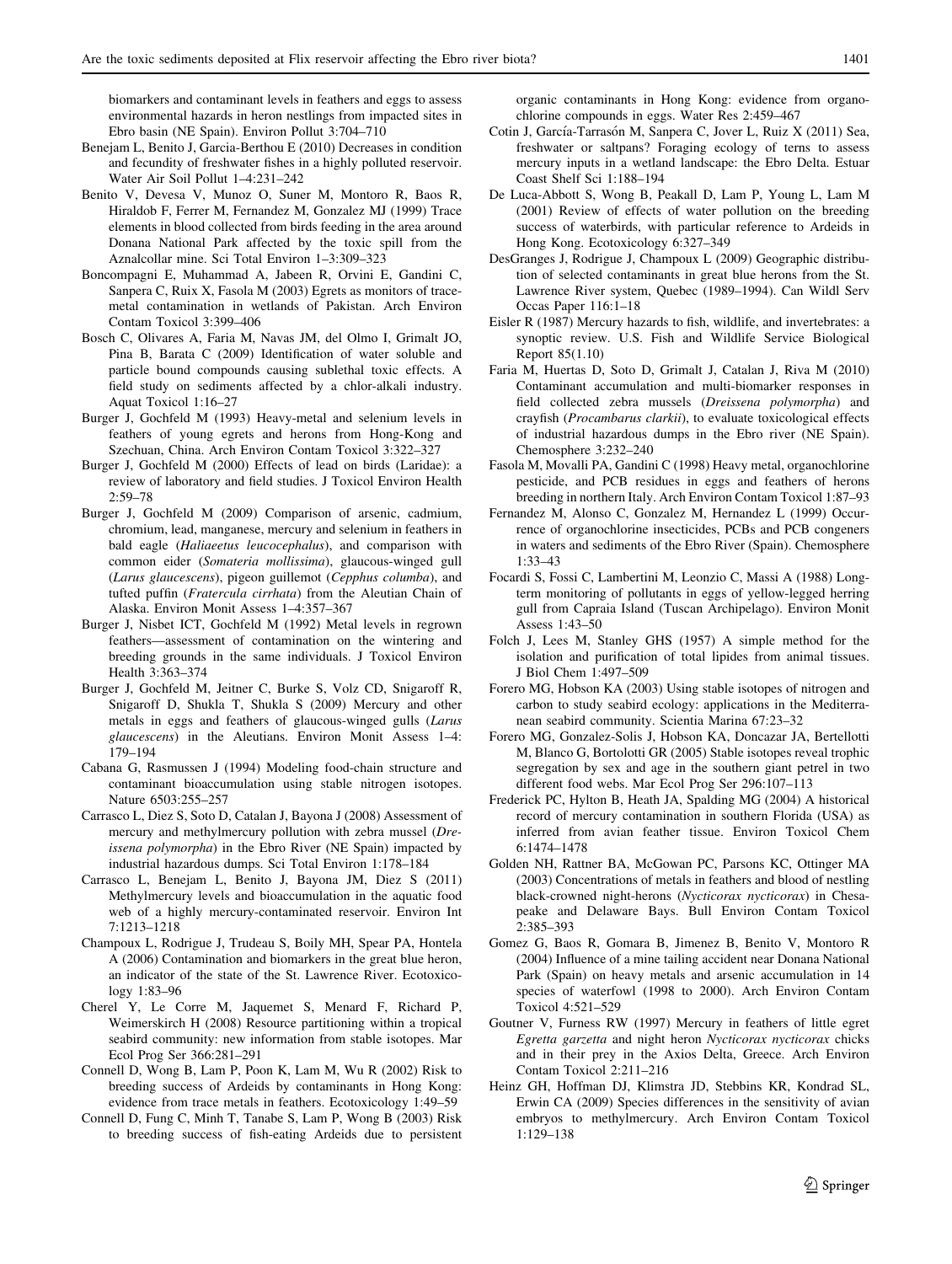<span id="page-10-0"></span>biomarkers and contaminant levels in feathers and eggs to assess environmental hazards in heron nestlings from impacted sites in Ebro basin (NE Spain). Environ Pollut 3:704–710

- Benejam L, Benito J, Garcia-Berthou E (2010) Decreases in condition and fecundity of freshwater fishes in a highly polluted reservoir. Water Air Soil Pollut 1–4:231–242
- Benito V, Devesa V, Munoz O, Suner M, Montoro R, Baos R, Hiraldob F, Ferrer M, Fernandez M, Gonzalez MJ (1999) Trace elements in blood collected from birds feeding in the area around Donana National Park affected by the toxic spill from the Aznalcollar mine. Sci Total Environ 1–3:309–323
- Boncompagni E, Muhammad A, Jabeen R, Orvini E, Gandini C, Sanpera C, Ruix X, Fasola M (2003) Egrets as monitors of tracemetal contamination in wetlands of Pakistan. Arch Environ Contam Toxicol 3:399–406
- Bosch C, Olivares A, Faria M, Navas JM, del Olmo I, Grimalt JO, Pina B, Barata C (2009) Identification of water soluble and particle bound compounds causing sublethal toxic effects. A field study on sediments affected by a chlor-alkali industry. Aquat Toxicol 1:16–27
- Burger J, Gochfeld M (1993) Heavy-metal and selenium levels in feathers of young egrets and herons from Hong-Kong and Szechuan, China. Arch Environ Contam Toxicol 3:322–327
- Burger J, Gochfeld M (2000) Effects of lead on birds (Laridae): a review of laboratory and field studies. J Toxicol Environ Health 2:59–78
- Burger J, Gochfeld M (2009) Comparison of arsenic, cadmium, chromium, lead, manganese, mercury and selenium in feathers in bald eagle (Haliaeetus leucocephalus), and comparison with common eider (Somateria mollissima), glaucous-winged gull (Larus glaucescens), pigeon guillemot (Cepphus columba), and tufted puffin (Fratercula cirrhata) from the Aleutian Chain of Alaska. Environ Monit Assess 1–4:357–367
- Burger J, Nisbet ICT, Gochfeld M (1992) Metal levels in regrown feathers—assessment of contamination on the wintering and breeding grounds in the same individuals. J Toxicol Environ Health 3:363–374
- Burger J, Gochfeld M, Jeitner C, Burke S, Volz CD, Snigaroff R, Snigaroff D, Shukla T, Shukla S (2009) Mercury and other metals in eggs and feathers of glaucous-winged gulls (Larus glaucescens) in the Aleutians. Environ Monit Assess 1–4: 179–194
- Cabana G, Rasmussen J (1994) Modeling food-chain structure and contaminant bioaccumulation using stable nitrogen isotopes. Nature 6503:255–257
- Carrasco L, Diez S, Soto D, Catalan J, Bayona J (2008) Assessment of mercury and methylmercury pollution with zebra mussel (*Dre*issena polymorpha) in the Ebro River (NE Spain) impacted by industrial hazardous dumps. Sci Total Environ 1:178–184
- Carrasco L, Benejam L, Benito J, Bayona JM, Diez S (2011) Methylmercury levels and bioaccumulation in the aquatic food web of a highly mercury-contaminated reservoir. Environ Int 7:1213–1218
- Champoux L, Rodrigue J, Trudeau S, Boily MH, Spear PA, Hontela A (2006) Contamination and biomarkers in the great blue heron, an indicator of the state of the St. Lawrence River. Ecotoxicology 1:83–96
- Cherel Y, Le Corre M, Jaquemet S, Menard F, Richard P, Weimerskirch H (2008) Resource partitioning within a tropical seabird community: new information from stable isotopes. Mar Ecol Prog Ser 366:281–291
- Connell D, Wong B, Lam P, Poon K, Lam M, Wu R (2002) Risk to breeding success of Ardeids by contaminants in Hong Kong: evidence from trace metals in feathers. Ecotoxicology 1:49–59
- Connell D, Fung C, Minh T, Tanabe S, Lam P, Wong B (2003) Risk to breeding success of fish-eating Ardeids due to persistent

organic contaminants in Hong Kong: evidence from organochlorine compounds in eggs. Water Res 2:459–467

- Cotin J, García-Tarrasón M, Sanpera C, Jover L, Ruiz X (2011) Sea, freshwater or saltpans? Foraging ecology of terns to assess mercury inputs in a wetland landscape: the Ebro Delta. Estuar Coast Shelf Sci 1:188–194
- De Luca-Abbott S, Wong B, Peakall D, Lam P, Young L, Lam M (2001) Review of effects of water pollution on the breeding success of waterbirds, with particular reference to Ardeids in Hong Kong. Ecotoxicology 6:327–349
- DesGranges J, Rodrigue J, Champoux L (2009) Geographic distribution of selected contaminants in great blue herons from the St. Lawrence River system, Quebec (1989–1994). Can Wildl Serv Occas Paper 116:1–18
- Eisler R (1987) Mercury hazards to fish, wildlife, and invertebrates: a synoptic review. U.S. Fish and Wildlife Service Biological Report 85(1.10)
- Faria M, Huertas D, Soto D, Grimalt J, Catalan J, Riva M (2010) Contaminant accumulation and multi-biomarker responses in field collected zebra mussels (Dreissena polymorpha) and crayfish (Procambarus clarkii), to evaluate toxicological effects of industrial hazardous dumps in the Ebro river (NE Spain). Chemosphere 3:232–240
- Fasola M, Movalli PA, Gandini C (1998) Heavy metal, organochlorine pesticide, and PCB residues in eggs and feathers of herons breeding in northern Italy. Arch Environ Contam Toxicol 1:87–93
- Fernandez M, Alonso C, Gonzalez M, Hernandez L (1999) Occurrence of organochlorine insecticides, PCBs and PCB congeners in waters and sediments of the Ebro River (Spain). Chemosphere 1:33–43
- Focardi S, Fossi C, Lambertini M, Leonzio C, Massi A (1988) Longterm monitoring of pollutants in eggs of yellow-legged herring gull from Capraia Island (Tuscan Archipelago). Environ Monit Assess 1:43–50
- Folch J, Lees M, Stanley GHS (1957) A simple method for the isolation and purification of total lipides from animal tissues. J Biol Chem 1:497–509
- Forero MG, Hobson KA (2003) Using stable isotopes of nitrogen and carbon to study seabird ecology: applications in the Mediterranean seabird community. Scientia Marina 67:23–32
- Forero MG, Gonzalez-Solis J, Hobson KA, Doncazar JA, Bertellotti M, Blanco G, Bortolotti GR (2005) Stable isotopes reveal trophic segregation by sex and age in the southern giant petrel in two different food webs. Mar Ecol Prog Ser 296:107–113
- Frederick PC, Hylton B, Heath JA, Spalding MG (2004) A historical record of mercury contamination in southern Florida (USA) as inferred from avian feather tissue. Environ Toxicol Chem 6:1474–1478
- Golden NH, Rattner BA, McGowan PC, Parsons KC, Ottinger MA (2003) Concentrations of metals in feathers and blood of nestling black-crowned night-herons (Nycticorax nycticorax) in Chesapeake and Delaware Bays. Bull Environ Contam Toxicol 2:385–393
- Gomez G, Baos R, Gomara B, Jimenez B, Benito V, Montoro R (2004) Influence of a mine tailing accident near Donana National Park (Spain) on heavy metals and arsenic accumulation in 14 species of waterfowl (1998 to 2000). Arch Environ Contam Toxicol 4:521–529
- Goutner V, Furness RW (1997) Mercury in feathers of little egret Egretta garzetta and night heron Nycticorax nycticorax chicks and in their prey in the Axios Delta, Greece. Arch Environ Contam Toxicol 2:211–216
- Heinz GH, Hoffman DJ, Klimstra JD, Stebbins KR, Kondrad SL, Erwin CA (2009) Species differences in the sensitivity of avian embryos to methylmercury. Arch Environ Contam Toxicol 1:129–138